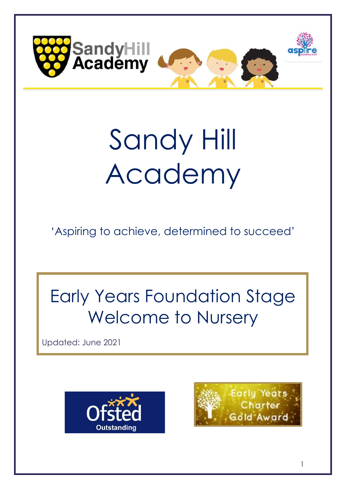

# Sandy Hill Academy

'Aspiring to achieve, determined to succeed'

## Early Years Foundation Stage Welcome to Nursery

Updated: June 2021



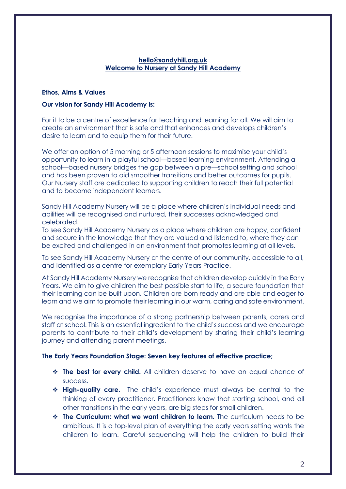### **hello@sandyhill.org.uk Welcome to Nursery at Sandy Hill Academy**

### **Ethos, Aims & Values**

### **Our vision for Sandy Hill Academy is:**

For it to be a centre of excellence for teaching and learning for all. We will aim to create an environment that is safe and that enhances and develops children's desire to learn and to equip them for their future.

We offer an option of 5 morning or 5 afternoon sessions to maximise your child's opportunity to learn in a playful school—based learning environment. Attending a school—based nursery bridges the gap between a pre—school setting and school and has been proven to aid smoother transitions and better outcomes for pupils. Our Nursery staff are dedicated to supporting children to reach their full potential and to become independent learners.

Sandy Hill Academy Nursery will be a place where children's individual needs and abilities will be recognised and nurtured, their successes acknowledged and celebrated.

To see Sandy Hill Academy Nursery as a place where children are happy, confident and secure in the knowledge that they are valued and listened to, where they can be excited and challenged in an environment that promotes learning at all levels.

To see Sandy Hill Academy Nursery at the centre of our community, accessible to all, and identified as a centre for exemplary Early Years Practice.

At Sandy Hill Academy Nursery we recognise that children develop quickly in the Early Years. We aim to give children the best possible start to life, a secure foundation that their learning can be built upon. Children are born ready and are able and eager to learn and we aim to promote their learning in our warm, caring and safe environment.

We recognise the importance of a strong partnership between parents, carers and staff at school. This is an essential ingredient to the child's success and we encourage parents to contribute to their child's development by sharing their child's learning journey and attending parent meetings.

### **The Early Years Foundation Stage: Seven key features of effective practice;**

- ❖ **The best for every child.** All children deserve to have an equal chance of success.
- ❖ **High-quality care.** The child's experience must always be central to the thinking of every practitioner. Practitioners know that starting school, and all other transitions in the early years, are big steps for small children.
- ❖ **The Curriculum: what we want children to learn.** The curriculum needs to be ambitious. It is a top-level plan of everything the early years setting wants the children to learn. Careful sequencing will help the children to build their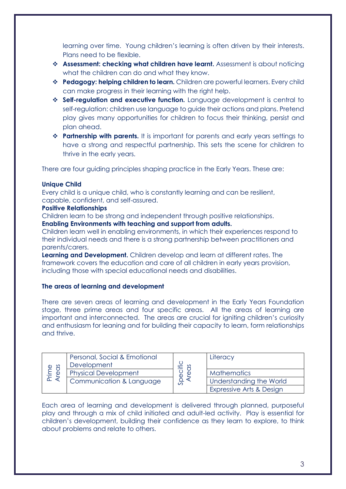learning over time. Young children's learning is often driven by their interests. Plans need to be flexible.

- ❖ **Assessment: checking what children have learnt.** Assessment is about noticing what the children can do and what they know.
- ❖ **Pedagogy: helping children to learn.** Children are powerful learners. Every child can make progress in their learning with the right help.
- ❖ **Self-regulation and executive function.** Language development is central to self-regulation: children use language to guide their actions and plans. Pretend play gives many opportunities for children to focus their thinking, persist and plan ahead.
- ❖ **Partnership with parents.** It is important for parents and early years settings to have a strong and respectful partnership. This sets the scene for children to thrive in the early years.

There are four guiding principles shaping practice in the Early Years. These are:

### **Unique Child**

Every child is a unique child, who is constantly learning and can be resilient, capable, confident, and self-assured.

### **Positive Relationships**

Children learn to be strong and independent through positive relationships. **Enabling Environments with teaching and support from adults.**

Children learn well in enabling environments, in which their experiences respond to their individual needs and there is a strong partnership between practitioners and parents/carers.

**Learning and Development.** Children develop and learn at different rates. The framework covers the education and care of all children in early years provision, including those with special educational needs and disabilities.

### **The areas of learning and development**

There are seven areas of learning and development in the Early Years Foundation stage, three prime areas and four specific areas. All the areas of learning are important and interconnected. The areas are crucial for igniting children's curiosity and enthusiasm for leaning and for building their capacity to learn, form relationships and thrive.

| 8<br>Prime<br>$\bigoplus$ | Personal, Social & Emotional<br>Development | ≝<br>ာ<br>ပ | Literacy                 |
|---------------------------|---------------------------------------------|-------------|--------------------------|
|                           | <b>Physical Development</b>                 |             | <b>Mathematics</b>       |
|                           | Communication & Language                    |             | Understanding the World  |
|                           |                                             |             | Expressive Arts & Design |

Each area of learning and development is delivered through planned, purposeful play and through a mix of child initiated and adult-led activity. Play is essential for children's development, building their confidence as they learn to explore, to think about problems and relate to others.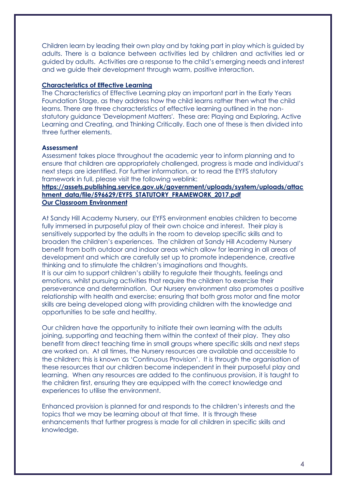Children learn by leading their own play and by taking part in play which is guided by adults. There is a balance between activities led by children and activities led or guided by adults. Activities are a response to the child's emerging needs and interest and we guide their development through warm, positive interaction.

### **Characteristics of Effective Learning**

The Characteristics of Effective Learning play an important part in the Early Years Foundation Stage, as they address how the child learns rather then what the child learns. There are three characteristics of effective learning outlined in the nonstatutory guidance 'Development Matters'. These are: Playing and Exploring, Active Learning and Creating, and Thinking Critically. Each one of these is then divided into three further elements.

### **Assessment**

Assessment takes place throughout the academic year to inform planning and to ensure that children are appropriately challenged, progress is made and individual's next steps are identified. For further information, or to read the EYFS statutory framework in full, please visit the following weblink:

### **[https://assets.publishing.service.gov.uk/government/uploads/system/uploads/attac](https://assets.publishing.service.gov.uk/government/uploads/system/uploads/attachment_data/file/596629/EYFS_STATUTORY_FRAMEWORK_2017.pdf) [hment\\_data/file/596629/EYFS\\_STATUTORY\\_FRAMEWORK\\_2017.pdf](https://assets.publishing.service.gov.uk/government/uploads/system/uploads/attachment_data/file/596629/EYFS_STATUTORY_FRAMEWORK_2017.pdf) Our Classroom Environment**

At Sandy Hill Academy Nursery, our EYFS environment enables children to become fully immersed in purposeful play of their own choice and interest. Their play is sensitively supported by the adults in the room to develop specific skills and to broaden the children's experiences. The children at Sandy Hill Academy Nursery benefit from both outdoor and indoor areas which allow for learning in all areas of development and which are carefully set up to promote independence, creative thinking and to stimulate the children's imaginations and thoughts. It is our aim to support children's ability to regulate their thoughts, feelings and emotions, whilst pursuing activities that require the children to exercise their perseverance and determination. Our Nursery environment also promotes a positive relationship with health and exercise; ensuring that both gross motor and fine motor skills are being developed along with providing children with the knowledge and opportunities to be safe and healthy.

Our children have the opportunity to initiate their own learning with the adults joining, supporting and teaching them within the context of their play. They also benefit from direct teaching time in small groups where specific skills and next steps are worked on. At all times, the Nursery resources are available and accessible to the children; this is known as 'Continuous Provision'. It is through the organisation of these resources that our children become independent in their purposeful play and learning. When any resources are added to the continuous provision, it is taught to the children first, ensuring they are equipped with the correct knowledge and experiences to utilise the environment.

Enhanced provision is planned for and responds to the children's interests and the topics that we may be learning about at that time. It is through these enhancements that further progress is made for all children in specific skills and knowledge.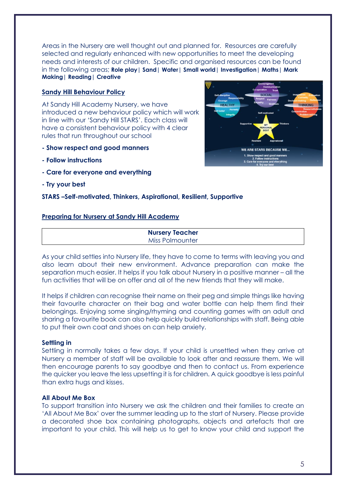Areas in the Nursery are well thought out and planned for. Resources are carefully selected and regularly enhanced with new opportunities to meet the developing needs and interests of our children. Specific and organised resources can be found in the following areas; **Role play| Sand| Water| Small world| Investigation| Maths| Mark Making| Reading| Creative** 

### **Sandy Hill Behaviour Policy**

At Sandy Hill Academy Nursery, we have introduced a new behaviour policy which will work in line with our 'Sandy Hill STARS'. Each class will have a consistent behaviour policy with 4 clear rules that run throughout our school

- **- Show respect and good manners**
- **- Follow instructions**
- **- Care for everyone and everything**
- **- Try your best**

### **STARS –Self-motivated, Thinkers, Aspirational, Resilient, Supportive**

### **Preparing for Nursery at Sandy Hill Academy**

**Nursery Teacher** Miss Polmounter

As your child settles into Nursery life, they have to come to terms with leaving you and also learn about their new environment. Advance preparation can make the separation much easier. It helps if you talk about Nursery in a positive manner – all the fun activities that will be on offer and all of the new friends that they will make.

It helps if children can recognise their name on their peg and simple things like having their favourite character on their bag and water bottle can help them find their belongings. Enjoying some singing/rhyming and counting games with an adult and sharing a favourite book can also help quickly build relationships with staff. Being able to put their own coat and shoes on can help anxiety.

### **Settling in**

Settling in normally takes a few days. If your child is unsettled when they arrive at Nursery a member of staff will be available to look after and reassure them. We will then encourage parents to say goodbye and then to contact us. From experience the quicker you leave the less upsetting it is for children. A quick goodbye is less painful than extra hugs and kisses.

### **All About Me Box**

To support transition into Nursery we ask the children and their families to create an 'All About Me Box' over the summer leading up to the start of Nursery. Please provide a decorated shoe box containing photographs, objects and artefacts that are important to your child. This will help us to get to know your child and support the

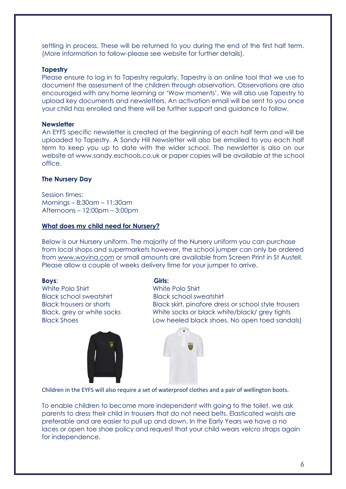settling in process. These will be returned to you during the end of the first half term. (More information to follow-please see website for further details).

### **Tapestry**

Please ensure to log in to Tapestry regularly. Tapestry is an online tool that we use to document the assessment of the children through observation. Observations are also encouraged with any home learning or 'Wow moments'. We will also use Tapestry to upload key documents and newsletters. An activation email will be sent to you once your child has enrolled and there will be further support and guidance to follow.

### **Newsletter**

An EYFS specific newsletter is created at the beginning of each half term and will be uploaded to Tapestry. A Sandy Hill Newsletter will also be emailed to you each half term to keep you up to date with the wider school. The newsletter is also on our website at www.sandy.eschools.co.uk or paper copies will be available at the school office.

### **The Nursery Day**

Session times: Mornings – 8:30am – 11:30am Afternoons – 12:00pm – 3:00pm

### **What does my child need for Nursery?**

Below is our Nursery uniform. The majority of the Nursery uniform you can purchase from local shops and supermarkets however, the school jumper can only be ordered from [www.wovina.com](http://www.wovina.com/) or small amounts are available from Screen Print in St Austell. Please allow a couple of weeks delivery time for your jumper to arrive.

**Boys**: **Girls:** White Polo Shirt Black school sweatshirt Black school sweatshirt



Black trousers or shorts Black skirt, pinafore dress or school style trousers Black, grey or white socks White socks or black white/black/ grey tights Black Shoes **Low heeled black shoes. No open toed sandals**)





Children in the EYFS will also require a set of waterproof clothes and a pair of wellington boots.

To enable children to become more independent with going to the toilet, we ask parents to dress their child in trousers that do not need belts. Elasticated waists are preferable and are easier to pull up and down. In the Early Years we have a no laces or open toe shoe policy and request that your child wears velcro straps again for independence.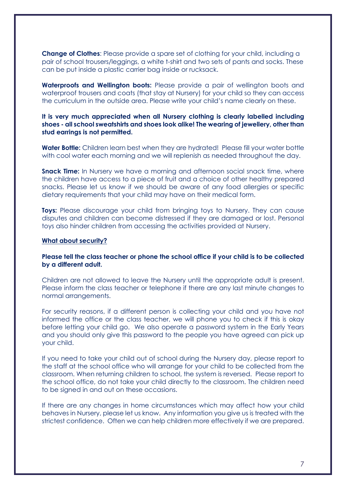**Change of Clothes**: Please provide a spare set of clothing for your child, including a pair of school trousers/leggings, a white t-shirt and two sets of pants and socks. These can be put inside a plastic carrier bag inside or rucksack.

**Waterproofs and Wellington boots:** Please provide a pair of wellington boots and waterproof trousers and coats (that stay at Nursery) for your child so they can access the curriculum in the outside area. Please write your child's name clearly on these.

### **It is very much appreciated when all Nursery clothing is clearly labelled including shoes - all school sweatshirts and shoes look alike! The wearing of jewellery, other than stud earrings is not permitted.**

**Water Bottle:** Children learn best when they are hydrated! Please fill your water bottle with cool water each morning and we will replenish as needed throughout the day.

**Snack Time:** In Nursery we have a morning and afternoon social snack time, where the children have access to a piece of fruit and a choice of other healthy prepared snacks. Please let us know if we should be aware of any food allergies or specific dietary requirements that your child may have on their medical form.

**Toys:** Please discourage your child from bringing toys to Nursery. They can cause disputes and children can become distressed if they are damaged or lost. Personal toys also hinder children from accessing the activities provided at Nursery.

### **What about security?**

### **Please tell the class teacher or phone the school office if your child is to be collected by a different adult.**

Children are not allowed to leave the Nursery until the appropriate adult is present. Please inform the class teacher or telephone if there are any last minute changes to normal arrangements.

For security reasons, if a different person is collecting your child and you have not informed the office or the class teacher, we will phone you to check if this is okay before letting your child go. We also operate a password system in the Early Years and you should only give this password to the people you have agreed can pick up your child.

If you need to take your child out of school during the Nursery day, please report to the staff at the school office who will arrange for your child to be collected from the classroom. When returning children to school, the system is reversed. Please report to the school office, do not take your child directly to the classroom. The children need to be signed in and out on these occasions.

If there are any changes in home circumstances which may affect how your child behaves in Nursery, please let us know. Any information you give us is treated with the strictest confidence. Often we can help children more effectively if we are prepared.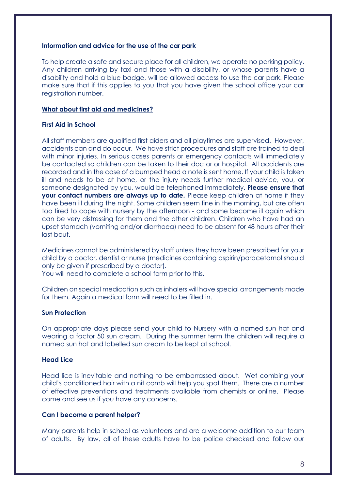### **Information and advice for the use of the car park**

To help create a safe and secure place for all children, we operate no parking policy. Any children arriving by taxi and those with a disability, or whose parents have a disability and hold a blue badge, will be allowed access to use the car park. Please make sure that if this applies to you that you have given the school office your car registration number.

### **What about first aid and medicines?**

### **First Aid in School**

All staff members are qualified first aiders and all playtimes are supervised. However, accidents can and do occur. We have strict procedures and staff are trained to deal with minor injuries. In serious cases parents or emergency contacts will immediately be contacted so children can be taken to their doctor or hospital. All accidents are recorded and in the case of a bumped head a note is sent home. If your child is taken ill and needs to be at home, or the injury needs further medical advice, you, or someone designated by you, would be telephoned immediately. **Please ensure that your contact numbers are always up to date.** Please keep children at home if they have been ill during the night. Some children seem fine in the morning, but are often too tired to cope with nursery by the afternoon - and some become ill again which can be very distressing for them and the other children. Children who have had an upset stomach (vomiting and/or diarrhoea) need to be absent for 48 hours after their last bout.

Medicines cannot be administered by staff unless they have been prescribed for your child by a doctor, dentist or nurse (medicines containing aspirin/paracetamol should only be given if prescribed by a doctor).

You will need to complete a school form prior to this.

Children on special medication such as inhalers will have special arrangements made for them. Again a medical form will need to be filled in.

### **Sun Protection**

On appropriate days please send your child to Nursery with a named sun hat and wearing a factor 50 sun cream. During the summer term the children will require a named sun hat and labelled sun cream to be kept at school.

### **Head Lice**

Head lice is inevitable and nothing to be embarrassed about. Wet combing your child's conditioned hair with a nit comb will help you spot them. There are a number of effective preventions and treatments available from chemists or online. Please come and see us if you have any concerns.

### **Can I become a parent helper?**

Many parents help in school as volunteers and are a welcome addition to our team of adults. By law, all of these adults have to be police checked and follow our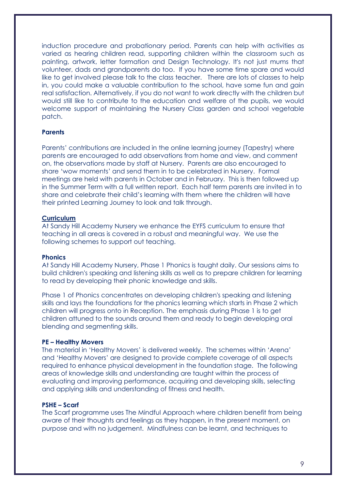induction procedure and probationary period. Parents can help with activities as varied as hearing children read, supporting children within the classroom such as painting, artwork, letter formation and Design Technology. It's not just mums that volunteer, dads and grandparents do too. If you have some time spare and would like to get involved please talk to the class teacher. There are lots of classes to help in, you could make a valuable contribution to the school, have some fun and gain real satisfaction. Alternatively, if you do not want to work directly with the children but would still like to contribute to the education and welfare of the pupils, we would welcome support of maintaining the Nursery Class garden and school vegetable patch.

### **Parents**

Parents' contributions are included in the online learning journey (Tapestry) where parents are encouraged to add observations from home and view, and comment on, the observations made by staff at Nursery. Parents are also encouraged to share 'wow moments' and send them in to be celebrated in Nursery. Formal meetings are held with parents in October and in February. This is then followed up in the Summer Term with a full written report. Each half term parents are invited in to share and celebrate their child's learning with them where the children will have their printed Learning Journey to look and talk through.

### **Curriculum**

At Sandy Hill Academy Nursery we enhance the EYFS curriculum to ensure that teaching in all areas is covered in a robust and meaningful way. We use the following schemes to support out teaching.

### **Phonics**

At Sandy Hill Academy Nursery, Phase 1 Phonics is taught daily. Our sessions aims to build children's speaking and listening skills as well as to prepare children for learning to read by developing their phonic knowledge and skills.

Phase 1 of Phonics concentrates on developing children's speaking and listening skills and lays the foundations for the phonics learning which starts in Phase 2 which children will progress onto in Reception. The emphasis during Phase 1 is to get children attuned to the sounds around them and ready to begin developing oral blending and segmenting skills.

### **PE – Healthy Movers**

The material in 'Healthy Movers' is delivered weekly. The schemes within 'Arena' and 'Healthy Movers' are designed to provide complete coverage of all aspects required to enhance physical development in the foundation stage. The following areas of knowledge skills and understanding are taught within the process of evaluating and improving performance, acquiring and developing skills, selecting and applying skills and understanding of fitness and health.

### **PSHE – Scarf**

The Scarf programme uses The Mindful Approach where children benefit from being aware of their thoughts and feelings as they happen, in the present moment, on purpose and with no judgement. Mindfulness can be learnt, and techniques to